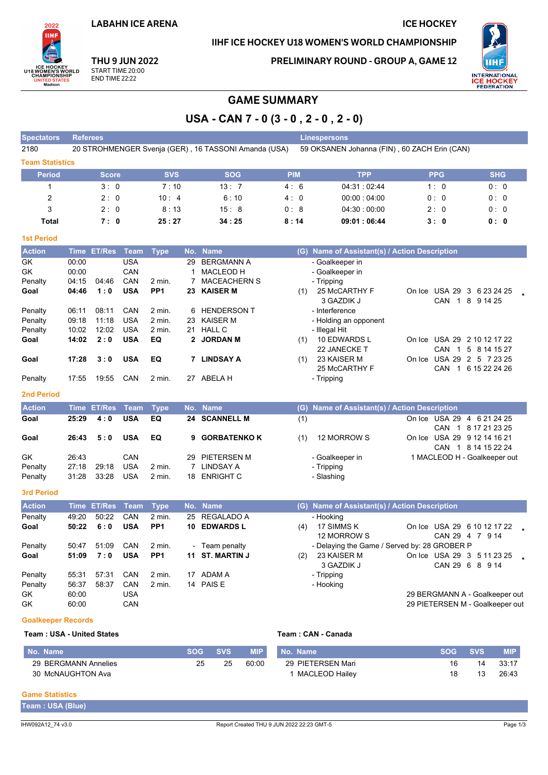**LABAHN ICE ARENA** 

## IIHF ICE HOCKEY U18 WOMEN'S WORLD CHAMPIONSHIP

**ICE HOCKEY** 



**THU 9 JUN 2022** START TIME 20:00 **END TIME 22:22** 

**PRELIMINARY ROUND - GROUP A, GAME 12** 



# **GAME SUMMARY**

USA - CAN 7 - 0 (3 - 0, 2 - 0, 2 - 0)

| <b>Spectators</b> | <b>Referees</b>                                                                                      |            |            |            | <b>Linespersons</b> |            |            |  |  |  |  |  |  |
|-------------------|------------------------------------------------------------------------------------------------------|------------|------------|------------|---------------------|------------|------------|--|--|--|--|--|--|
| 2180              | 20 STROHMENGER Svenja (GER), 16 TASSONI Amanda (USA)<br>59 OKSANEN Johanna (FIN), 60 ZACH Erin (CAN) |            |            |            |                     |            |            |  |  |  |  |  |  |
|                   | <b>Team Statistics</b>                                                                               |            |            |            |                     |            |            |  |  |  |  |  |  |
| <b>Period</b>     | <b>Score</b>                                                                                         | <b>SVS</b> | <b>SOG</b> | <b>PIM</b> | TPP                 | <b>PPG</b> | <b>SHG</b> |  |  |  |  |  |  |
|                   | 3:0                                                                                                  | 7:10       | 13:7       | 4:6        | 04:31:02:44         | 1:0        | 0:0        |  |  |  |  |  |  |
| 2                 | 2:0                                                                                                  | 10:4       | 6:10       | 4:0        | 00:00:04:00         | 0:0        | 0:0        |  |  |  |  |  |  |
| 3                 | 2:0                                                                                                  | 8:13       | 15:8       | 0:8        | $04.30 \div 00.00$  | 2:0        | 0:0        |  |  |  |  |  |  |
| Total             | 7:0                                                                                                  | 25:27      | 34:25      | 8:14       | 09:01:06:44         | 3:0        | 0: 0       |  |  |  |  |  |  |

#### **1st Period**

| <b>Action</b> | <b>Time</b> | <b>ET/Res</b> | Team       | <b>Type</b>     | No. | <b>Name</b>         | Name of Assistant(s) / Action Description<br>(G)                |  |
|---------------|-------------|---------------|------------|-----------------|-----|---------------------|-----------------------------------------------------------------|--|
| GK            | 00:00       |               | <b>USA</b> |                 | 29  | <b>BERGMANN A</b>   | - Goalkeeper in                                                 |  |
| GK            | 00:00       |               | CAN        |                 |     | <b>MACLEOD H</b>    | - Goalkeeper in                                                 |  |
| Penalty       | 04:15       | 04:46         | CAN        | $2$ min.        |     | <b>MACEACHERN S</b> | - Tripping                                                      |  |
| Goal          | 04:46       | 1:0           | <b>USA</b> | PP <sub>1</sub> | 23  | <b>KAISER M</b>     | 25 McCARTHY F<br><b>USA 29</b><br>3 6 23 24 25<br>(1)<br>On Ice |  |
|               |             |               |            |                 |     |                     | 3 GAZDIK J<br>CAN<br>8<br>9 14 25                               |  |
| Penalty       | 06:11       | 08:11         | CAN        | $2$ min.        | 6   | <b>HENDERSON T</b>  | - Interference                                                  |  |
| Penalty       | 09.18       | 11:18         | <b>USA</b> | 2 min.          | 23  | <b>KAISER M</b>     | - Holding an opponent                                           |  |
| Penalty       | 10:02       | 12:02         | <b>USA</b> | $2$ min.        | 21  | <b>HALL C</b>       | - Illegal Hit                                                   |  |
| Goal          | 14:02       | 2:0           | <b>USA</b> | EQ              |     | 2 JORDAN M          | 10 EDWARDS L<br><b>USA 29</b><br>2 10 12 17 22<br>(1)<br>On Ice |  |
|               |             |               |            |                 |     |                     | 22 JANECKE T<br>CAN<br>5 8 14 15 27                             |  |
| Goal          | 17:28       | 3:0           | <b>USA</b> | EQ              |     | <b>LINDSAY A</b>    | 23 KAISER M<br><b>USA 29</b><br>(1)<br>2 5 7 23 25<br>On Ice    |  |
|               |             |               |            |                 |     |                     | 25 McCARTHY F<br>6 15 22 24 26<br>CAN                           |  |
| Penalty       | 17:55       | 19:55         | CAN        | $2$ min.        | 27  | <b>ABELAH</b>       | - Tripping                                                      |  |
|               |             |               |            |                 |     |                     |                                                                 |  |

#### 2nd Period

| <b>Action</b>            |                         | Time ET/Res Team Type |                                 |                  | No. Name                                    |     | (G) Name of Assistant(s) / Action Description                               |
|--------------------------|-------------------------|-----------------------|---------------------------------|------------------|---------------------------------------------|-----|-----------------------------------------------------------------------------|
| Goal                     | 25:29                   | 4:0                   | <b>USA</b>                      | EQ               | 24 SCANNELL M                               | (1) | On Ice USA 29 4 6 21 24 25<br>CAN 1 8 17 21 23 25                           |
| Goal                     | 26:43                   | 5:0                   | <b>USA</b>                      | EQ.              | 9 GORBATENKO K                              | (1) | 12 MORROW S<br>On Ice USA 29 9 12 14 16 21<br>CAN 1 8 14 15 22 24           |
| GK<br>Penalty<br>Penalty | 26.43<br>27:18<br>31:28 | 29.18<br>33:28        | CAN<br><b>USA</b><br><b>USA</b> | 2 min.<br>2 min. | 29 PIETERSEN M<br>LINDSAY A<br>18 ENRIGHT C |     | - Goalkeeper in<br>1 MACLEOD H - Goalkeeper out<br>- Tripping<br>- Slashing |

#### 3rd Period

| <b>Action</b> |       | <u>'Time</u> ET/Res Team, |            | Type              |     | No. Name         |     | (G) Name of Assistant(s) / Action Description |                 |                                 |  |
|---------------|-------|---------------------------|------------|-------------------|-----|------------------|-----|-----------------------------------------------|-----------------|---------------------------------|--|
| Penalty       | 49:20 | 50:22                     | <b>CAN</b> | 2 min.            | 25  | REGALADO A       |     | - Hooking                                     |                 |                                 |  |
| Goal          | 50:22 | 6:0                       | <b>USA</b> | PP <sub>1</sub>   | 10. | <b>EDWARDS L</b> | (4) | 17 SIMMS K                                    |                 | On Ice USA 29 6 10 12 17 22     |  |
|               |       |                           |            |                   |     |                  |     | 12 MORROW S                                   | CAN 29 4 7 9 14 |                                 |  |
| Penalty       | 50:47 | 51:09                     | CAN        | 2 min.            |     | - Team penalty   |     | - Delaying the Game / Served by: 28 GROBER P  |                 |                                 |  |
| Goal          | 51:09 | 7:0                       | <b>USA</b> | PP <sub>1</sub>   |     | 11 ST. MARTIN J  | (2) | 23 KAISER M                                   |                 | On Ice USA 29 3 5 11 23 25      |  |
|               |       |                           |            |                   |     |                  |     | 3 GAZDIK J                                    | CAN 29 6 8 9 14 |                                 |  |
| Penalty       | 55:31 | 57:31                     | CAN        | $2 \text{ min}$ . | 17  | ADAM A           |     | - Tripping                                    |                 |                                 |  |
| Penalty       | 56:37 | 58:37                     | CAN        | $2$ min.          |     | 14 PAIS E        |     | - Hooking                                     |                 |                                 |  |
| <b>GK</b>     | 60:00 |                           | USA        |                   |     |                  |     |                                               |                 | 29 BERGMANN A - Goalkeeper out  |  |
| GK            | 60:00 |                           | CAN        |                   |     |                  |     |                                               |                 | 29 PIETERSEN M - Goalkeeper out |  |

#### **Goalkeeper Records**

#### Team: USA - United States

| l No. Name           | <b>SOG</b> | <b>SVS</b> | <b>MIP</b> | Name <sup>1</sup><br>No. | <b>SVS</b> | <b>MIP</b> |
|----------------------|------------|------------|------------|--------------------------|------------|------------|
| 29 BERGMANN Annelies | 25         | 25         | 60.0C      | 29 PIETERSEN Mari        | 14         | 33:17      |
| 30 McNAUGHTON Ava    |            |            |            | <b>MACLEOD Hailev</b>    |            | 26:43      |

Team: CAN - Canada

#### **Game Statistics**

| Team: USA (Blue |  |  |  |
|-----------------|--|--|--|
|                 |  |  |  |
|                 |  |  |  |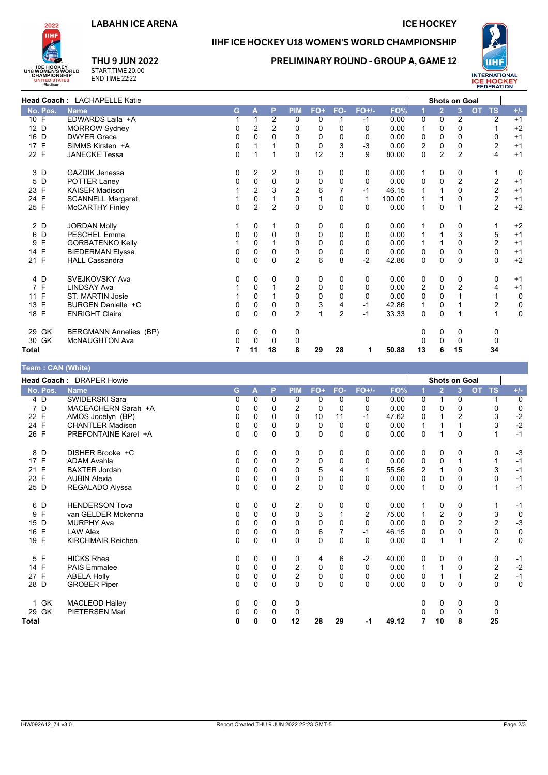## **LABAHN ICE ARENA**

**ICE HOCKEY** 



## IIHF ICE HOCKEY U18 WOMEN'S WORLD CHAMPIONSHIP

## **PRELIMINARY ROUND - GROUP A, GAME 12**



**THU 9 JUN 2022** START TIME 20:00<br>END TIME 22:22

|                                      | Head Coach: LACHAPELLE Katie  |             |                |                |                |              |                |              |        | <b>Shots on Goal</b> |                |                |                         |             |
|--------------------------------------|-------------------------------|-------------|----------------|----------------|----------------|--------------|----------------|--------------|--------|----------------------|----------------|----------------|-------------------------|-------------|
| No. Pos.                             | <b>Name</b>                   | G.          | A              | P              | <b>PIM</b>     | FO+          | FO-            | $FO+/-$      | FO%    |                      | $\overline{2}$ | 3              | <b>TS</b><br><b>OT</b>  | $+/-$       |
| 10 F                                 | EDWARDS Laila +A              |             | $\mathbf 1$    | $\overline{2}$ | 0              | 0            | 1              | $-1$         | 0.00   | 0                    | $\Omega$       | 2              | $\overline{2}$          | $+1$        |
| 12 D                                 | <b>MORROW Sydney</b>          | 0           | 2              | 2              | 0              | 0            | 0              | $\Omega$     | 0.00   | 1                    | $\Omega$       | $\Omega$       | 1                       | $+2$        |
| 16 D                                 | <b>DWYER Grace</b>            | $\mathbf 0$ | $\mathbf{0}$   | $\Omega$       | $\Omega$       | 0            | $\Omega$       | $\Omega$     | 0.00   | 0                    | 0              | $\Omega$       | 0                       | $+1$        |
| $\mathsf{F}$<br>17                   | SIMMS Kirsten +A              | 0           | 1              |                | 0              | 0            | 3              | $-3$         | 0.00   | $\overline{2}$       | 0              | 0              | $\overline{2}$          | $+1$        |
| 22 F                                 | <b>JANECKE Tessa</b>          | $\Omega$    | 1              | 1              | $\mathbf{0}$   | 12           | 3              | 9            | 80.00  | 0                    | $\overline{2}$ | $\overline{2}$ | 4                       | $+1$        |
| 3 D                                  | <b>GAZDIK Jenessa</b>         | 0           | 2              | 2              | 0              | 0            | 0              | 0            | 0.00   | 1                    | 0              | 0              | 1                       | 0           |
| 5<br>D                               | POTTER Laney                  | 0           | 0              | $\mathbf 0$    | $\mathbf 0$    | 0            | $\mathbf{0}$   | $\Omega$     | 0.00   | $\mathbf 0$          | 0              | $\overline{2}$ | $\overline{c}$          | $+1$        |
| F<br>23                              | <b>KAISER Madison</b>         |             | $\overline{2}$ | 3              | $\overline{2}$ | 6            |                | $-1$         | 46.15  |                      | 1              | $\Omega$       | $\overline{c}$          | $+1$        |
| 24 F                                 | <b>SCANNELL Margaret</b>      |             | 0              | $\mathbf{1}$   | $\mathbf 0$    | $\mathbf{1}$ | $\Omega$       | $\mathbf{1}$ | 100.00 |                      | 1              | $\Omega$       | $\overline{\mathbf{c}}$ | $+1$        |
| 25 F                                 | <b>McCARTHY Finley</b>        | $\Omega$    | $\overline{2}$ | $\overline{2}$ | $\mathbf{0}$   | 0            | $\Omega$       | $\Omega$     | 0.00   | 1                    | $\mathbf 0$    | 1              | $\overline{2}$          | $+2$        |
| 2 D                                  | <b>JORDAN Molly</b>           |             | 0              | 1              | 0              | 0            | 0              | 0            | 0.00   | 1                    | 0              | 0              | 1                       | $+2$        |
| D<br>6                               | <b>PESCHEL Emma</b>           | 0           | 0              | 0              | 0              | 0            | 0              | 0            | 0.00   |                      | 1              | 3              | 5                       | $+1$        |
| F<br>9                               | <b>GORBATENKO Kelly</b>       |             | $\Omega$       | $\mathbf{1}$   | $\Omega$       | 0            | $\Omega$       | 0            | 0.00   | 1                    | 1              | $\Omega$       | $\overline{c}$          | $+1$        |
| 14 F                                 | <b>BIEDERMAN Elyssa</b>       | $\mathbf 0$ | $\Omega$       | $\Omega$       | $\mathbf 0$    | 0            | $\mathbf{0}$   | 0            | 0.00   | 0                    | 0              | $\Omega$       | 0                       | $+1$        |
| 21 F                                 | <b>HALL Cassandra</b>         | 0           | 0              | $\mathbf 0$    | $\overline{2}$ | 6            | 8              | $-2$         | 42.86  | 0                    | 0              | 0              | 0                       | $+2$        |
| 4 D                                  | SVEJKOVSKY Ava                | 0           | 0              | 0              | 0              | 0            | 0              | 0            | 0.00   | 0                    | 0              | 0              | 0                       | $+1$        |
| 7 F                                  | <b>LINDSAY Ava</b>            |             | 0              | 1              | $\overline{2}$ | 0            | $\Omega$       | 0            | 0.00   | $\overline{2}$       | $\Omega$       | 2              | 4                       | $+1$        |
| 11 F                                 | <b>ST. MARTIN Josie</b>       |             | $\mathbf 0$    | 1              | 0              | 0            | $\Omega$       | $\Omega$     | 0.00   | $\Omega$             | 0              |                | 1                       | 0           |
| F<br>13                              | BURGEN Danielle +C            | 0           | 0              | $\Omega$       | 0              | 3            | 4              | $-1$         | 42.86  |                      | 0              |                | 2                       | 0           |
| 18 F                                 | <b>ENRIGHT Claire</b>         | $\Omega$    | $\Omega$       | $\Omega$       | $\overline{2}$ | $\mathbf{1}$ | $\overline{2}$ | $-1$         | 33.33  | $\Omega$             | $\Omega$       | $\overline{1}$ | $\mathbf{1}$            | $\mathbf 0$ |
| <b>GK</b><br>29                      | <b>BERGMANN Annelies (BP)</b> | 0           | 0              | 0              | 0              |              |                |              |        | 0                    | 0              | 0              | 0                       |             |
| 30 GK                                | McNAUGHTON Ava                | 0           | $\Omega$       | $\Omega$       | 0              |              |                |              |        | 0                    | $\Omega$       | $\mathbf{0}$   | 0                       |             |
| <b>Total</b>                         |                               |             | 11             | 18             | 8              | 29           | 28             | 1            | 50.88  | 13                   | 6              | 15             | 34                      |             |
| $Tnom \cdot CAN$ / <i>/////hital</i> |                               |             |                |                |                |              |                |              |        |                      |                |                |                         |             |

| $1$ vant $1$ vant (Thing) |                          |   |          |             |                |              |             |                |       |               |                |                |                        |             |  |
|---------------------------|--------------------------|---|----------|-------------|----------------|--------------|-------------|----------------|-------|---------------|----------------|----------------|------------------------|-------------|--|
|                           | Head Coach: DRAPER Howie |   |          |             |                |              |             |                |       | Shots on Goal |                |                |                        |             |  |
| No. Pos.                  | <b>Name</b>              | G | A        | P           | <b>PIM</b>     | FO+          | FO-         | $FO+/-$        | FO%   | 1             | $\overline{2}$ | 3              | <b>TS</b><br><b>OT</b> | $+/-$       |  |
| 4 D                       | <b>SWIDERSKI Sara</b>    | 0 | 0        | 0           | 0              | 0            | 0           | 0              | 0.00  | 0             | 1              | 0              |                        | $\mathbf 0$ |  |
| 7 D                       | MACEACHERN Sarah +A      | 0 | 0        | 0           | 2              | 0            | $\Omega$    | 0              | 0.00  | 0             | 0              | 0              | 0                      | 0           |  |
| 22 F                      | AMOS Jocelyn (BP)        | 0 | 0        | $\Omega$    | 0              | 10           | 11          | $-1$           | 47.62 | 0             |                | $\overline{2}$ | $\mathsf 3$            | $-2$        |  |
| 24 F                      | <b>CHANTLER Madison</b>  | 0 | $\Omega$ | $\Omega$    | 0              | 0            | $\Omega$    | 0              | 0.00  |               |                |                | 3                      | $-2$        |  |
| 26 F                      | PREFONTAINE Karel +A     | 0 | $\Omega$ | $\Omega$    | $\Omega$       | $\mathbf 0$  | $\Omega$    | 0              | 0.00  | 0             | 1              | $\Omega$       |                        | $-1$        |  |
| 8 D                       | DISHER Brooke +C         | 0 | 0        | 0           | 0              | 0            | 0           | 0              | 0.00  | 0             | 0              | 0              | 0                      | $-3$        |  |
| 17<br>F                   | <b>ADAM Avahla</b>       | 0 | 0        | $\mathbf 0$ | $\overline{2}$ | 0            | 0           | 0              | 0.00  | 0             | 0              |                | 1                      | $-1$        |  |
| F<br>21                   | <b>BAXTER Jordan</b>     | 0 | $\Omega$ | $\Omega$    | $\Omega$       | 5            | 4           | 1              | 55.56 | 2             | 1              | $\Omega$       | 3                      | $-1$        |  |
| F<br>23                   | <b>AUBIN Alexia</b>      | 0 | 0        | 0           | 0              | 0            | $\mathbf 0$ | 0              | 0.00  | 0             | $\mathbf 0$    | 0              | $\mathbf 0$            | $-1$        |  |
| 25 D                      | REGALADO Alyssa          | 0 | $\Omega$ | $\Omega$    | $\overline{2}$ | $\mathbf{0}$ | $\Omega$    | 0              | 0.00  | 1             | $\mathbf{0}$   | $\Omega$       | 1                      | $-1$        |  |
| 6 D                       | <b>HENDERSON Tova</b>    | 0 | 0        | 0           | 2              | 0            | 0           | 0              | 0.00  |               | 0              | 0              | 1                      | $-1$        |  |
| F<br>9                    | van GELDER Mckenna       | 0 | 0        | $\Omega$    | 0              | 3            |             | $\overline{2}$ | 75.00 |               | 2              | $\Omega$       | 3                      | $\mathbf 0$ |  |
| 15<br>D                   | <b>MURPHY Ava</b>        | 0 | 0        | 0           | 0              | 0            | $\Omega$    | 0              | 0.00  | 0             | 0              | $\overline{2}$ | $\overline{2}$         | $-3$        |  |
| 16 F                      | <b>LAW Alex</b>          | 0 | $\Omega$ | $\Omega$    | 0              | 6            |             | $-1$           | 46.15 | 0             | 0              | 0              | 0                      | $\pmb{0}$   |  |
| F<br>19                   | <b>KIRCHMAIR Reichen</b> | 0 | 0        | 0           | 0              | 0            | $\Omega$    | $\Omega$       | 0.00  | 0             | 1              |                | $\overline{2}$         | $\mathbf 0$ |  |
| 5 F                       | <b>HICKS Rhea</b>        | 0 | 0        | 0           | 0              | 4            | 6           | $-2$           | 40.00 | 0             | 0              | 0              | 0                      | $-1$        |  |
| F<br>14                   | <b>PAIS Emmalee</b>      | 0 | 0        | 0           | $\overline{2}$ | 0            | $\Omega$    | 0              | 0.00  | 1             | 1              | $\Omega$       | $\overline{2}$         | $-2$        |  |
| F<br>27                   | <b>ABELA Holly</b>       | 0 | 0        | $\Omega$    | 2              | 0            | $\Omega$    | 0              | 0.00  | 0             | 1              |                | 2                      | $-1$        |  |
| 28 D                      | <b>GROBER Piper</b>      | 0 | 0        | $\Omega$    | $\Omega$       | $\Omega$     | $\Omega$    | 0              | 0.00  | $\Omega$      | 0              | $\Omega$       | 0                      | $\mathbf 0$ |  |
| <b>GK</b><br>1            | <b>MACLEOD Hailey</b>    | 0 | 0        | 0           | 0              |              |             |                |       | 0             | 0              | 0              | 0                      |             |  |
| 29 GK                     | PIETERSEN Mari           | 0 | 0        | 0           | 0              |              |             |                |       |               | 0              | 0              | 0                      |             |  |
| <b>Total</b>              |                          | 0 | 0        | 0           | 12             | 28           | 29          | -1             | 49.12 |               | 10             | 8              | 25                     |             |  |